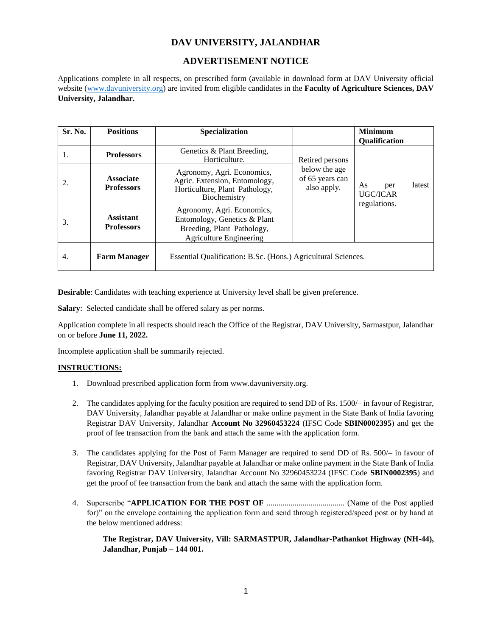# **DAV UNIVERSITY, JALANDHAR**

## **ADVERTISEMENT NOTICE**

Applications complete in all respects, on prescribed form (available in download form at DAV University official website [\(www.davuniversity.org\)](http://www.davuniversity.org/) are invited from eligible candidates in the **Faculty of Agriculture Sciences, DAV University, Jalandhar.**

| Sr. No. | <b>Positions</b>                      | <b>Specialization</b>                                                                                                      |                                                                    | <b>Minimum</b><br><b>Qualification</b> |
|---------|---------------------------------------|----------------------------------------------------------------------------------------------------------------------------|--------------------------------------------------------------------|----------------------------------------|
| 1.      | <b>Professors</b>                     | Genetics & Plant Breeding,<br>Horticulture.                                                                                | Retired persons<br>below the age<br>of 65 years can<br>also apply. |                                        |
| 2.      | <b>Associate</b><br><b>Professors</b> | Agronomy, Agri. Economics,<br>Agric. Extension, Entomology,<br>Horticulture, Plant Pathology,<br>Biochemistry              |                                                                    | latest<br>As<br>per<br><b>UGC/ICAR</b> |
| 3.      | <b>Assistant</b><br><b>Professors</b> | Agronomy, Agri. Economics,<br>Entomology, Genetics & Plant<br>Breeding, Plant Pathology,<br><b>Agriculture Engineering</b> |                                                                    | regulations.                           |
| 4.      | <b>Farm Manager</b>                   | Essential Qualification: B.Sc. (Hons.) Agricultural Sciences.                                                              |                                                                    |                                        |

**Desirable**: Candidates with teaching experience at University level shall be given preference.

**Salary**: Selected candidate shall be offered salary as per norms.

Application complete in all respects should reach the Office of the Registrar, DAV University, Sarmastpur, Jalandhar on or before **June 11, 2022.**

Incomplete application shall be summarily rejected.

## **INSTRUCTIONS:**

- 1. Download prescribed application form from www.davuniversity.org.
- 2. The candidates applying for the faculty position are required to send DD of Rs. 1500/– in favour of Registrar, DAV University, Jalandhar payable at Jalandhar or make online payment in the State Bank of India favoring Registrar DAV University, Jalandhar **Account No 32960453224** (IFSC Code **SBIN0002395**) and get the proof of fee transaction from the bank and attach the same with the application form.
- 3. The candidates applying for the Post of Farm Manager are required to send DD of Rs. 500/– in favour of Registrar, DAV University, Jalandhar payable at Jalandhar or make online payment in the State Bank of India favoring Registrar DAV University, Jalandhar Account No 32960453224 (IFSC Code **SBIN0002395**) and get the proof of fee transaction from the bank and attach the same with the application form.
- 4. Superscribe "**APPLICATION FOR THE POST OF** ....................................... (Name of the Post applied for)" on the envelope containing the application form and send through registered/speed post or by hand at the below mentioned address:

**The Registrar, DAV University, Vill: SARMASTPUR, Jalandhar-Pathankot Highway (NH-44), Jalandhar, Punjab – 144 001.**